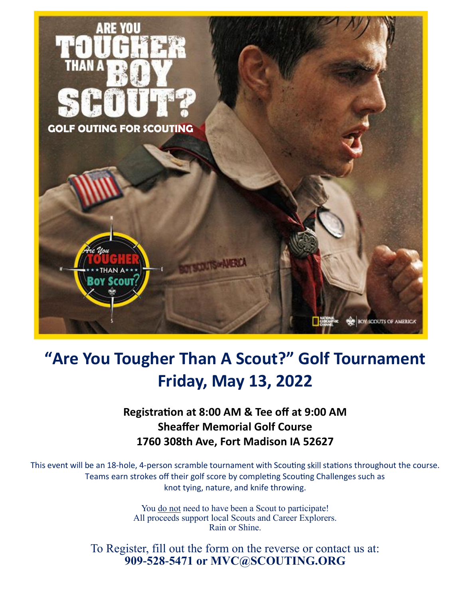

# **"Are You Tougher Than A Scout?" Golf Tournament Friday, May 13, 2022**

#### **Registration at 8:00 AM & Tee off at 9:00 AM Sheaffer Memorial Golf Course 1760 308th Ave, Fort Madison IA 52627**

This event will be an 18-hole, 4-person scramble tournament with Scouting skill stations throughout the course. Teams earn strokes off their golf score by completing Scouting Challenges such as knot tying, nature, and knife throwing

> You do not need to have been a Scout to participate! All proceeds support local Scouts and Career Explorers. Rain or Shine.

To Register, fill out the form on the reverse or contact us at: **909-528-5471 or MVC@SCOUTING.ORG**